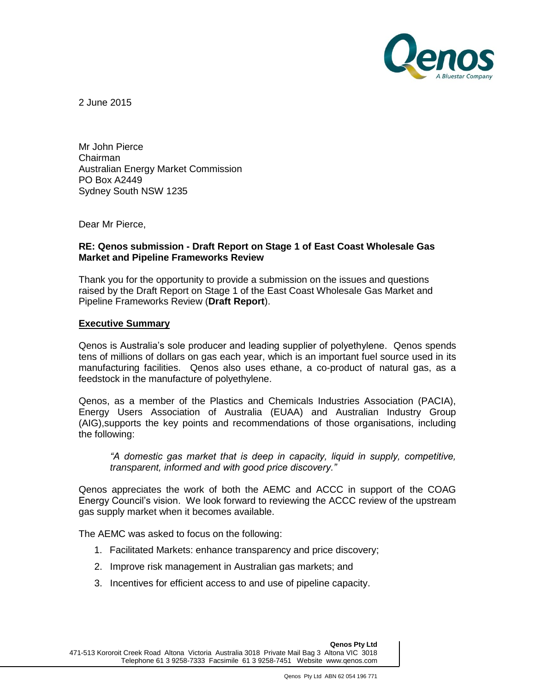

2 June 2015

Mr John Pierce Chairman Australian Energy Market Commission PO Box A2449 Sydney South NSW 1235

Dear Mr Pierce,

### **RE: Qenos submission - Draft Report on Stage 1 of East Coast Wholesale Gas Market and Pipeline Frameworks Review**

Thank you for the opportunity to provide a submission on the issues and questions raised by the Draft Report on Stage 1 of the East Coast Wholesale Gas Market and Pipeline Frameworks Review (**Draft Report**).

#### **Executive Summary**

Qenos is Australia's sole producer and leading supplier of polyethylene. Qenos spends tens of millions of dollars on gas each year, which is an important fuel source used in its manufacturing facilities. Qenos also uses ethane, a co-product of natural gas, as a feedstock in the manufacture of polyethylene.

Qenos, as a member of the Plastics and Chemicals Industries Association (PACIA), Energy Users Association of Australia (EUAA) and Australian Industry Group (AIG),supports the key points and recommendations of those organisations, including the following:

*"A domestic gas market that is deep in capacity, liquid in supply, competitive, transparent, informed and with good price discovery."*

Qenos appreciates the work of both the AEMC and ACCC in support of the COAG Energy Council's vision. We look forward to reviewing the ACCC review of the upstream gas supply market when it becomes available.

The AEMC was asked to focus on the following:

- 1. Facilitated Markets: enhance transparency and price discovery;
- 2. Improve risk management in Australian gas markets; and
- 3. Incentives for efficient access to and use of pipeline capacity.

**Qenos Pty Ltd**

471-513 Kororoit Creek Road Altona Victoria Australia 3018 Private Mail Bag 3 Altona VIC 3018 Telephone 61 3 9258-7333 Facsimile 61 3 9258-7451 Website www.qenos.com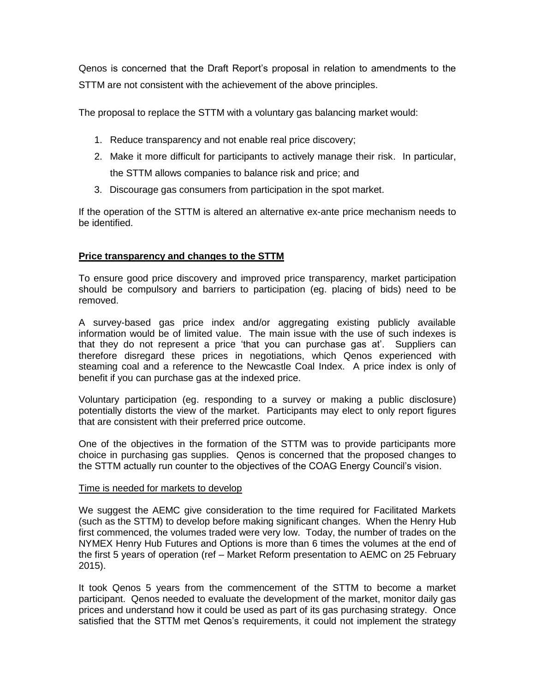Qenos is concerned that the Draft Report's proposal in relation to amendments to the STTM are not consistent with the achievement of the above principles.

The proposal to replace the STTM with a voluntary gas balancing market would:

- 1. Reduce transparency and not enable real price discovery;
- 2. Make it more difficult for participants to actively manage their risk. In particular, the STTM allows companies to balance risk and price; and
- 3. Discourage gas consumers from participation in the spot market.

If the operation of the STTM is altered an alternative ex-ante price mechanism needs to be identified.

# **Price transparency and changes to the STTM**

To ensure good price discovery and improved price transparency, market participation should be compulsory and barriers to participation (eg. placing of bids) need to be removed.

A survey-based gas price index and/or aggregating existing publicly available information would be of limited value. The main issue with the use of such indexes is that they do not represent a price 'that you can purchase gas at'. Suppliers can therefore disregard these prices in negotiations, which Qenos experienced with steaming coal and a reference to the Newcastle Coal Index. A price index is only of benefit if you can purchase gas at the indexed price.

Voluntary participation (eg. responding to a survey or making a public disclosure) potentially distorts the view of the market. Participants may elect to only report figures that are consistent with their preferred price outcome.

One of the objectives in the formation of the STTM was to provide participants more choice in purchasing gas supplies. Qenos is concerned that the proposed changes to the STTM actually run counter to the objectives of the COAG Energy Council's vision.

#### Time is needed for markets to develop

We suggest the AEMC give consideration to the time required for Facilitated Markets (such as the STTM) to develop before making significant changes. When the Henry Hub first commenced, the volumes traded were very low. Today, the number of trades on the NYMEX Henry Hub Futures and Options is more than 6 times the volumes at the end of the first 5 years of operation (ref – Market Reform presentation to AEMC on 25 February 2015).

It took Qenos 5 years from the commencement of the STTM to become a market participant. Qenos needed to evaluate the development of the market, monitor daily gas prices and understand how it could be used as part of its gas purchasing strategy. Once satisfied that the STTM met Qenos's requirements, it could not implement the strategy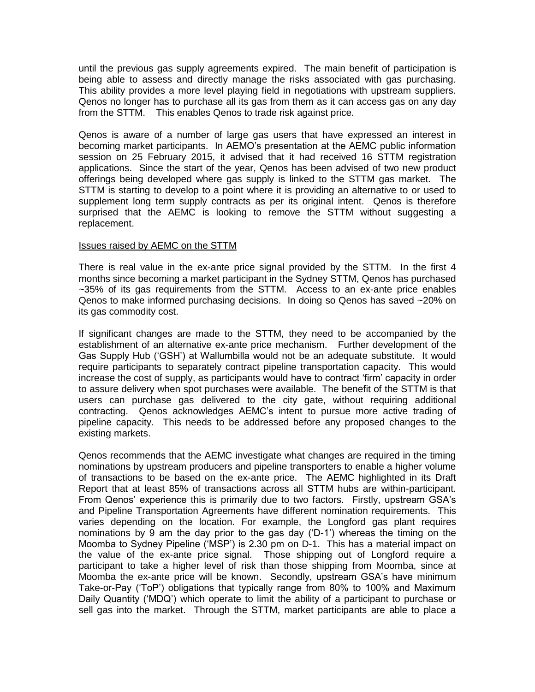until the previous gas supply agreements expired. The main benefit of participation is being able to assess and directly manage the risks associated with gas purchasing. This ability provides a more level playing field in negotiations with upstream suppliers. Qenos no longer has to purchase all its gas from them as it can access gas on any day from the STTM. This enables Qenos to trade risk against price.

Qenos is aware of a number of large gas users that have expressed an interest in becoming market participants. In AEMO's presentation at the AEMC public information session on 25 February 2015, it advised that it had received 16 STTM registration applications. Since the start of the year, Qenos has been advised of two new product offerings being developed where gas supply is linked to the STTM gas market. The STTM is starting to develop to a point where it is providing an alternative to or used to supplement long term supply contracts as per its original intent. Qenos is therefore surprised that the AEMC is looking to remove the STTM without suggesting a replacement.

#### Issues raised by AEMC on the STTM

There is real value in the ex-ante price signal provided by the STTM. In the first 4 months since becoming a market participant in the Sydney STTM, Qenos has purchased ~35% of its gas requirements from the STTM. Access to an ex-ante price enables Qenos to make informed purchasing decisions. In doing so Qenos has saved ~20% on its gas commodity cost.

If significant changes are made to the STTM, they need to be accompanied by the establishment of an alternative ex-ante price mechanism. Further development of the Gas Supply Hub ('GSH') at Wallumbilla would not be an adequate substitute. It would require participants to separately contract pipeline transportation capacity. This would increase the cost of supply, as participants would have to contract 'firm' capacity in order to assure delivery when spot purchases were available. The benefit of the STTM is that users can purchase gas delivered to the city gate, without requiring additional contracting. Qenos acknowledges AEMC's intent to pursue more active trading of pipeline capacity. This needs to be addressed before any proposed changes to the existing markets.

Qenos recommends that the AEMC investigate what changes are required in the timing nominations by upstream producers and pipeline transporters to enable a higher volume of transactions to be based on the ex-ante price. The AEMC highlighted in its Draft Report that at least 85% of transactions across all STTM hubs are within-participant. From Qenos' experience this is primarily due to two factors. Firstly, upstream GSA's and Pipeline Transportation Agreements have different nomination requirements. This varies depending on the location. For example, the Longford gas plant requires nominations by 9 am the day prior to the gas day ('D-1') whereas the timing on the Moomba to Sydney Pipeline ('MSP') is 2.30 pm on D-1. This has a material impact on the value of the ex-ante price signal. Those shipping out of Longford require a participant to take a higher level of risk than those shipping from Moomba, since at Moomba the ex-ante price will be known. Secondly, upstream GSA's have minimum Take-or-Pay ('ToP') obligations that typically range from 80% to 100% and Maximum Daily Quantity ('MDQ') which operate to limit the ability of a participant to purchase or sell gas into the market. Through the STTM, market participants are able to place a